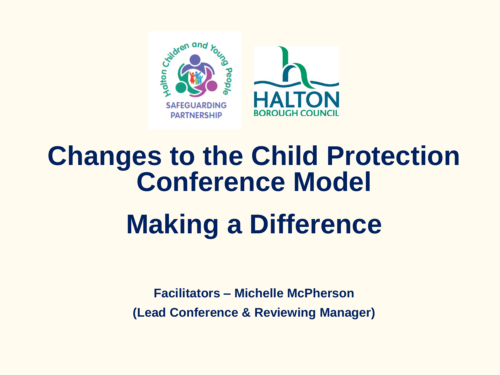

# OUGH COUNCIL

## **Changes to the Child Protection Conference Model Making a Difference**

**Facilitators – Michelle McPherson (Lead Conference & Reviewing Manager)**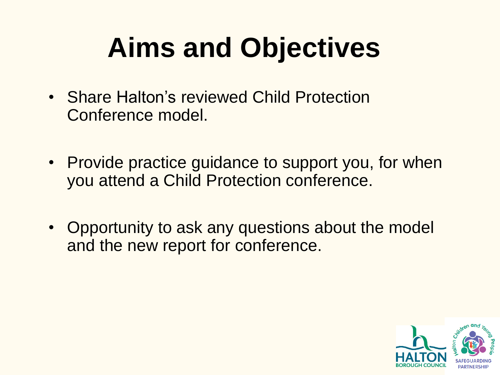# **Aims and Objectives**

- Share Halton's reviewed Child Protection Conference model.
- Provide practice guidance to support you, for when you attend a Child Protection conference.
- Opportunity to ask any questions about the model and the new report for conference.

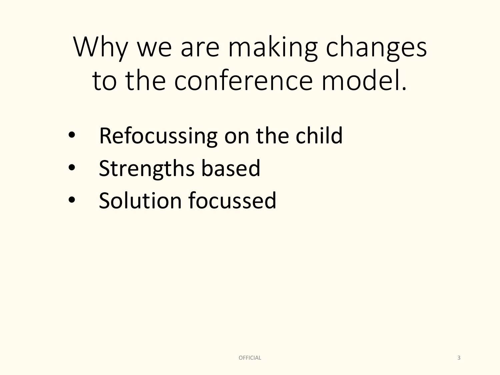Why we are making changes to the conference model.

- Refocussing on the child
- Strengths based
- Solution focussed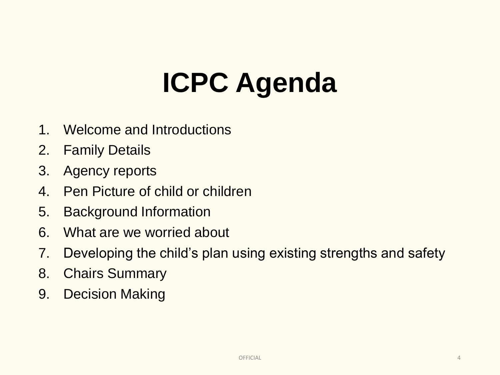## **ICPC Agenda**

- 1. Welcome and Introductions
- 2. Family Details
- 3. Agency reports
- 4. Pen Picture of child or children
- 5. Background Information
- 6. What are we worried about
- 7. Developing the child's plan using existing strengths and safety
- 8. Chairs Summary
- 9. Decision Making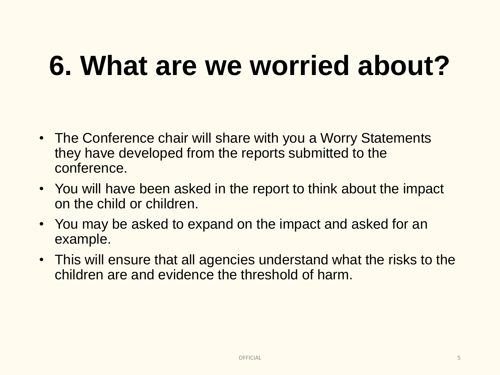## **6. What are we worried about?**

- The Conference chair will share with you a Worry Statements they have developed from the reports submitted to the conference.
- You will have been asked in the report to think about the impact on the child or children.
- You may be asked to expand on the impact and asked for an example.
- This will ensure that all agencies understand what the risks to the children are and evidence the threshold of harm.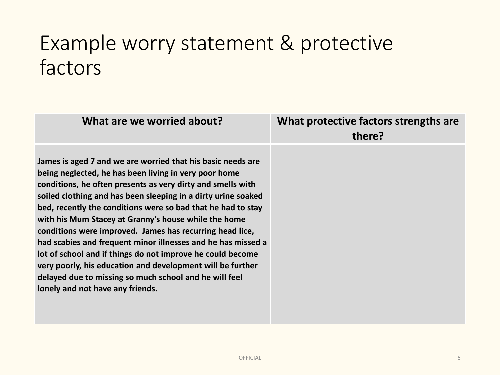#### Example worry statement & protective factors

| What are we worried about?                                                                                                                                                                                                                                                                                                                                                                                                                                                                                                                                                                                                                                                                                                         | What protective factors strengths are<br>there? |
|------------------------------------------------------------------------------------------------------------------------------------------------------------------------------------------------------------------------------------------------------------------------------------------------------------------------------------------------------------------------------------------------------------------------------------------------------------------------------------------------------------------------------------------------------------------------------------------------------------------------------------------------------------------------------------------------------------------------------------|-------------------------------------------------|
| James is aged 7 and we are worried that his basic needs are<br>being neglected, he has been living in very poor home<br>conditions, he often presents as very dirty and smells with<br>soiled clothing and has been sleeping in a dirty urine soaked<br>bed, recently the conditions were so bad that he had to stay<br>with his Mum Stacey at Granny's house while the home<br>conditions were improved. James has recurring head lice,<br>had scabies and frequent minor illnesses and he has missed a<br>lot of school and if things do not improve he could become<br>very poorly, his education and development will be further<br>delayed due to missing so much school and he will feel<br>lonely and not have any friends. |                                                 |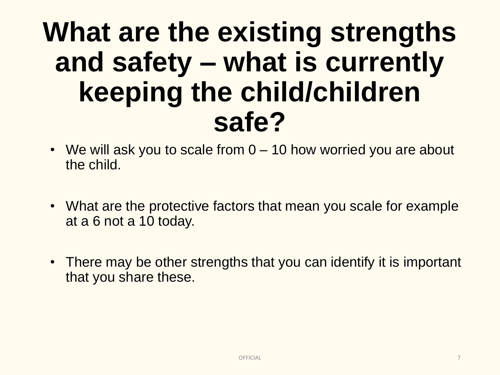#### **What are the existing strengths and safety – what is currently keeping the child/children safe?**

- We will ask you to scale from 0 10 how worried you are about the child.
- What are the protective factors that mean you scale for example at a 6 not a 10 today.
- There may be other strengths that you can identify it is important that you share these.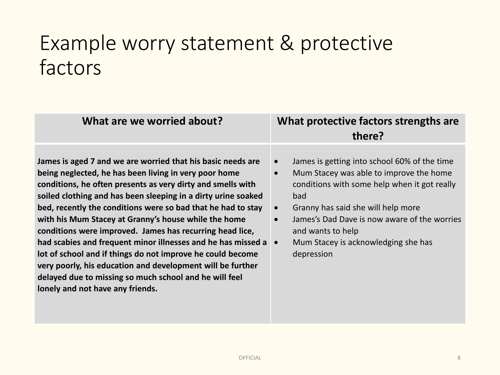#### Example worry statement & protective factors

| What are we worried about?                                                                                                                                                                                                                                                                                                                                                                                                                                                                                                                                                                                                                                                                                                         | What protective factors strengths are<br>there?                                                                                                                                                                                                                                                                                                                    |  |
|------------------------------------------------------------------------------------------------------------------------------------------------------------------------------------------------------------------------------------------------------------------------------------------------------------------------------------------------------------------------------------------------------------------------------------------------------------------------------------------------------------------------------------------------------------------------------------------------------------------------------------------------------------------------------------------------------------------------------------|--------------------------------------------------------------------------------------------------------------------------------------------------------------------------------------------------------------------------------------------------------------------------------------------------------------------------------------------------------------------|--|
| James is aged 7 and we are worried that his basic needs are<br>being neglected, he has been living in very poor home<br>conditions, he often presents as very dirty and smells with<br>soiled clothing and has been sleeping in a dirty urine soaked<br>bed, recently the conditions were so bad that he had to stay<br>with his Mum Stacey at Granny's house while the home<br>conditions were improved. James has recurring head lice,<br>had scabies and frequent minor illnesses and he has missed a<br>lot of school and if things do not improve he could become<br>very poorly, his education and development will be further<br>delayed due to missing so much school and he will feel<br>lonely and not have any friends. | James is getting into school 60% of the time<br>$\bullet$<br>Mum Stacey was able to improve the home<br>$\bullet$<br>conditions with some help when it got really<br>bad<br>Granny has said she will help more<br>$\bullet$<br>James's Dad Dave is now aware of the worries<br>$\bullet$<br>and wants to help<br>Mum Stacey is acknowledging she has<br>depression |  |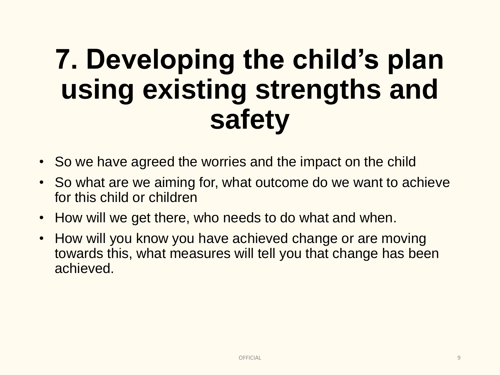#### **7. Developing the child's plan using existing strengths and safety**

- So we have agreed the worries and the impact on the child
- So what are we aiming for, what outcome do we want to achieve for this child or children
- How will we get there, who needs to do what and when.
- How will you know you have achieved change or are moving towards this, what measures will tell you that change has been achieved.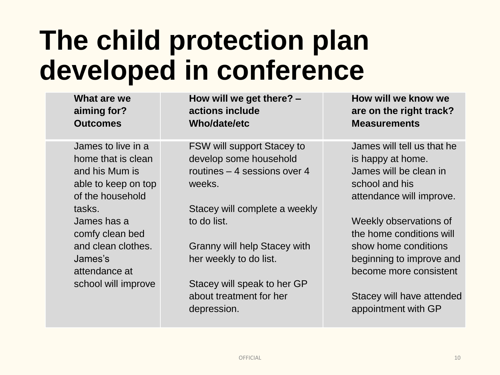### **The child protection plan developed in conference**

| What are we<br>aiming for?<br><b>Outcomes</b>                                                                     | How will we get there? -<br>actions include<br>Who/date/etc                                                                           | How will we know we<br>are on the right track?<br><b>Measurements</b>                                                            |
|-------------------------------------------------------------------------------------------------------------------|---------------------------------------------------------------------------------------------------------------------------------------|----------------------------------------------------------------------------------------------------------------------------------|
| James to live in a<br>home that is clean<br>and his Mum is<br>able to keep on top<br>of the household             | <b>FSW will support Stacey to</b><br>develop some household<br>routines $-4$ sessions over 4<br>weeks.                                | James will tell us that he<br>is happy at home.<br>James will be clean in<br>school and his<br>attendance will improve.          |
| tasks.<br>James has a<br>comfy clean bed<br>and clean clothes.<br>James's<br>attendance at<br>school will improve | Stacey will complete a weekly<br>to do list.<br>Granny will help Stacey with<br>her weekly to do list.<br>Stacey will speak to her GP | Weekly observations of<br>the home conditions will<br>show home conditions<br>beginning to improve and<br>become more consistent |
|                                                                                                                   | about treatment for her<br>depression.                                                                                                | Stacey will have attended<br>appointment with GP                                                                                 |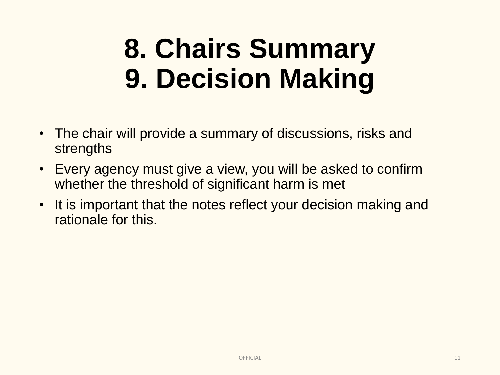## **8. Chairs Summary 9. Decision Making**

- The chair will provide a summary of discussions, risks and strengths
- Every agency must give a view, you will be asked to confirm whether the threshold of significant harm is met
- It is important that the notes reflect your decision making and rationale for this.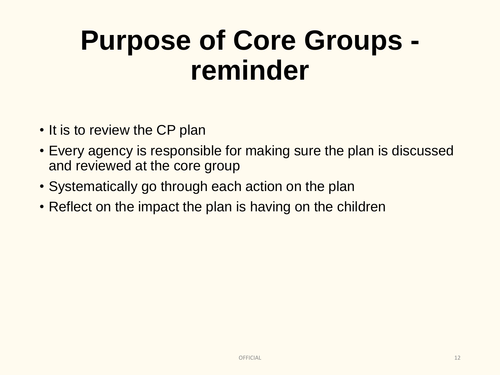#### **Purpose of Core Groups reminder**

- It is to review the CP plan
- Every agency is responsible for making sure the plan is discussed and reviewed at the core group
- Systematically go through each action on the plan
- Reflect on the impact the plan is having on the children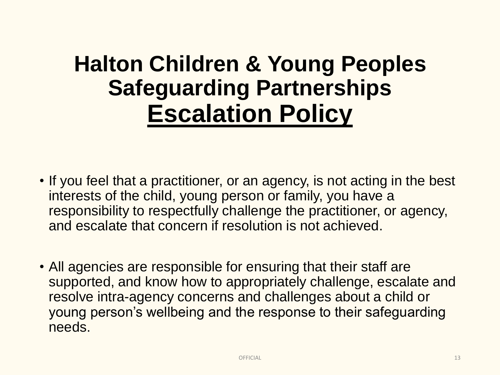#### **Halton Children & Young Peoples Safeguarding Partnerships Escalation Policy**

- If you feel that a practitioner, or an agency, is not acting in the best interests of the child, young person or family, you have a responsibility to respectfully challenge the practitioner, or agency, and escalate that concern if resolution is not achieved.
- All agencies are responsible for ensuring that their staff are supported, and know how to appropriately challenge, escalate and resolve intra-agency concerns and challenges about a child or young person's wellbeing and the response to their safeguarding needs.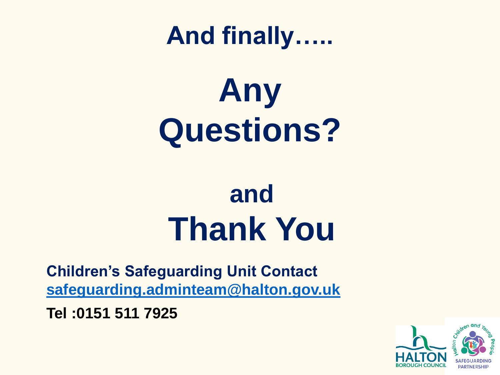#### **And finally…..**

# **Any Questions?**

# **and Thank You**

**Children's Safeguarding Unit Contact [safeguarding.adminteam@halton.gov.uk](mailto:safeguarding.adminteam@halton.gov.uk)**

**Tel :0151 511 7925**